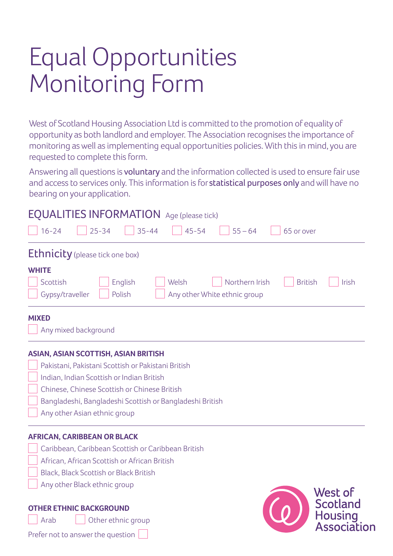# Equal Opportunities Monitoring Form

Prefer not to answer the question

West of Scotland Housing Association Ltd is committed to the promotion of equality of opportunity as both landlord and employer. The Association recognises the importance of monitoring as well as implementing equal opportunities policies. With this in mind, you are requested to complete this form.

Answering all questions is voluntary and the information collected is used to ensure fair use and access to services only. This information is for statistical purposes only and will have no bearing on your application.

| <b>EQUALITIES INFORMATION</b> Age (please tick)<br>$16 - 24$<br>$25 - 34$<br>$35 - 44$<br>$45 - 54$<br>$55 - 64$<br>65 or over |                               |  |  |  |
|--------------------------------------------------------------------------------------------------------------------------------|-------------------------------|--|--|--|
| <b>Ethnicity</b> (please tick one box)                                                                                         |                               |  |  |  |
| <b>WHITE</b>                                                                                                                   |                               |  |  |  |
| Scottish<br>English<br>Northern Irish<br><b>British</b><br>Welsh                                                               | Irish                         |  |  |  |
| Polish<br>Gypsy/traveller<br>Any other White ethnic group                                                                      |                               |  |  |  |
| <b>MIXED</b>                                                                                                                   |                               |  |  |  |
| Any mixed background                                                                                                           |                               |  |  |  |
| <b>ASIAN, ASIAN SCOTTISH, ASIAN BRITISH</b>                                                                                    |                               |  |  |  |
| Pakistani, Pakistani Scottish or Pakistani British                                                                             |                               |  |  |  |
| Indian, Indian Scottish or Indian British                                                                                      |                               |  |  |  |
| Chinese, Chinese Scottish or Chinese British                                                                                   |                               |  |  |  |
| Bangladeshi, Bangladeshi Scottish or Bangladeshi British                                                                       |                               |  |  |  |
| Any other Asian ethnic group                                                                                                   |                               |  |  |  |
| <b>AFRICAN, CARIBBEAN OR BLACK</b>                                                                                             |                               |  |  |  |
| Caribbean, Caribbean Scottish or Caribbean British                                                                             |                               |  |  |  |
| African, African Scottish or African British                                                                                   |                               |  |  |  |
| Black, Black Scottish or Black British                                                                                         |                               |  |  |  |
| Any other Black ethnic group                                                                                                   | West of                       |  |  |  |
| <b>OTHER ETHNIC BACKGROUND</b>                                                                                                 | <b>Scotland</b>               |  |  |  |
| Other ethnic group<br>Arab                                                                                                     | <b>Housing</b><br>Association |  |  |  |
| $D$ ngfannat ta anguwatha guagtian                                                                                             |                               |  |  |  |